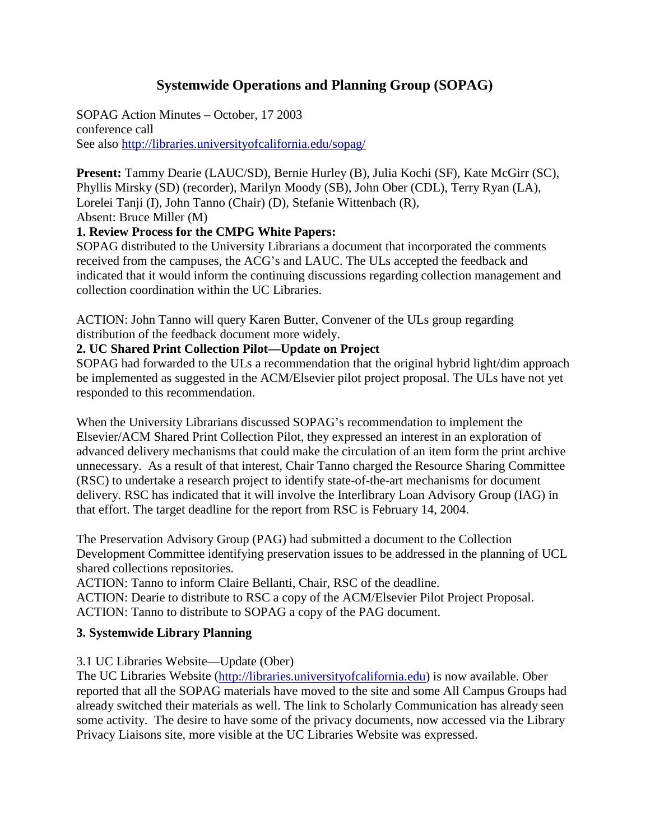# **Systemwide Operations and Planning Group (SOPAG)**

SOPAG Action Minutes – October, 17 2003 conference call See also<http://libraries.universityofcalifornia.edu/sopag/>

**Present:** Tammy Dearie (LAUC/SD), Bernie Hurley (B), Julia Kochi (SF), Kate McGirr (SC), Phyllis Mirsky (SD) (recorder), Marilyn Moody (SB), John Ober (CDL), Terry Ryan (LA), Lorelei Tanji (I), John Tanno (Chair) (D), Stefanie Wittenbach (R), Absent: Bruce Miller (M)

#### **1. Review Process for the CMPG White Papers:**

SOPAG distributed to the University Librarians a document that incorporated the comments received from the campuses, the ACG's and LAUC. The ULs accepted the feedback and indicated that it would inform the continuing discussions regarding collection management and collection coordination within the UC Libraries.

ACTION: John Tanno will query Karen Butter, Convener of the ULs group regarding distribution of the feedback document more widely.

#### **2. UC Shared Print Collection Pilot—Update on Project**

SOPAG had forwarded to the ULs a recommendation that the original hybrid light/dim approach be implemented as suggested in the ACM/Elsevier pilot project proposal. The ULs have not yet responded to this recommendation.

When the University Librarians discussed SOPAG's recommendation to implement the Elsevier/ACM Shared Print Collection Pilot, they expressed an interest in an exploration of advanced delivery mechanisms that could make the circulation of an item form the print archive unnecessary. As a result of that interest, Chair Tanno charged the Resource Sharing Committee (RSC) to undertake a research project to identify state-of-the-art mechanisms for document delivery. RSC has indicated that it will involve the Interlibrary Loan Advisory Group (IAG) in that effort. The target deadline for the report from RSC is February 14, 2004.

The Preservation Advisory Group (PAG) had submitted a document to the Collection Development Committee identifying preservation issues to be addressed in the planning of UCL shared collections repositories.

ACTION: Tanno to inform Claire Bellanti, Chair, RSC of the deadline.

ACTION: Dearie to distribute to RSC a copy of the ACM/Elsevier Pilot Project Proposal. ACTION: Tanno to distribute to SOPAG a copy of the PAG document.

#### **3. Systemwide Library Planning**

#### 3.1 UC Libraries Website—Update (Ober)

The UC Libraries Website [\(http://libraries.universityofcalifornia.edu\)](http://libraries.universityofcalifornia.edu/) is now available. Ober reported that all the SOPAG materials have moved to the site and some All Campus Groups had already switched their materials as well. The link to Scholarly Communication has already seen some activity. The desire to have some of the privacy documents, now accessed via the Library Privacy Liaisons site, more visible at the UC Libraries Website was expressed.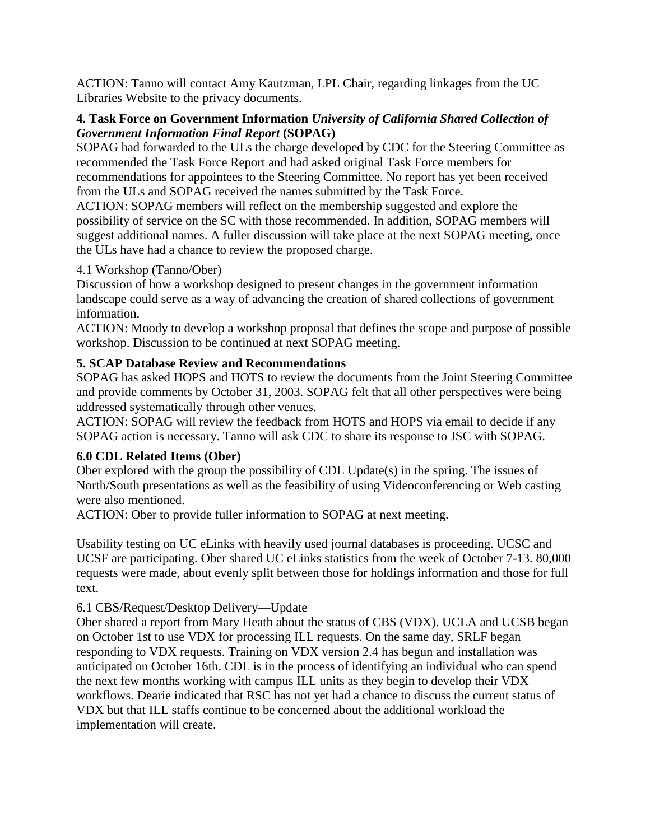ACTION: Tanno will contact Amy Kautzman, LPL Chair, regarding linkages from the UC Libraries Website to the privacy documents.

## **4. Task Force on Government Information** *University of California Shared Collection of Government Information Final Report* **(SOPAG)**

SOPAG had forwarded to the ULs the charge developed by CDC for the Steering Committee as recommended the Task Force Report and had asked original Task Force members for recommendations for appointees to the Steering Committee. No report has yet been received from the ULs and SOPAG received the names submitted by the Task Force.

ACTION: SOPAG members will reflect on the membership suggested and explore the possibility of service on the SC with those recommended. In addition, SOPAG members will suggest additional names. A fuller discussion will take place at the next SOPAG meeting, once the ULs have had a chance to review the proposed charge.

#### 4.1 Workshop (Tanno/Ober)

Discussion of how a workshop designed to present changes in the government information landscape could serve as a way of advancing the creation of shared collections of government information.

ACTION: Moody to develop a workshop proposal that defines the scope and purpose of possible workshop. Discussion to be continued at next SOPAG meeting.

## **5. SCAP Database Review and Recommendations**

SOPAG has asked HOPS and HOTS to review the documents from the Joint Steering Committee and provide comments by October 31, 2003. SOPAG felt that all other perspectives were being addressed systematically through other venues.

ACTION: SOPAG will review the feedback from HOTS and HOPS via email to decide if any SOPAG action is necessary. Tanno will ask CDC to share its response to JSC with SOPAG.

## **6.0 CDL Related Items (Ober)**

Ober explored with the group the possibility of CDL Update(s) in the spring. The issues of North/South presentations as well as the feasibility of using Videoconferencing or Web casting were also mentioned.

ACTION: Ober to provide fuller information to SOPAG at next meeting.

Usability testing on UC eLinks with heavily used journal databases is proceeding. UCSC and UCSF are participating. Ober shared UC eLinks statistics from the week of October 7-13. 80,000 requests were made, about evenly split between those for holdings information and those for full text.

## 6.1 CBS/Request/Desktop Delivery—Update

Ober shared a report from Mary Heath about the status of CBS (VDX). UCLA and UCSB began on October 1st to use VDX for processing ILL requests. On the same day, SRLF began responding to VDX requests. Training on VDX version 2.4 has begun and installation was anticipated on October 16th. CDL is in the process of identifying an individual who can spend the next few months working with campus ILL units as they begin to develop their VDX workflows. Dearie indicated that RSC has not yet had a chance to discuss the current status of VDX but that ILL staffs continue to be concerned about the additional workload the implementation will create.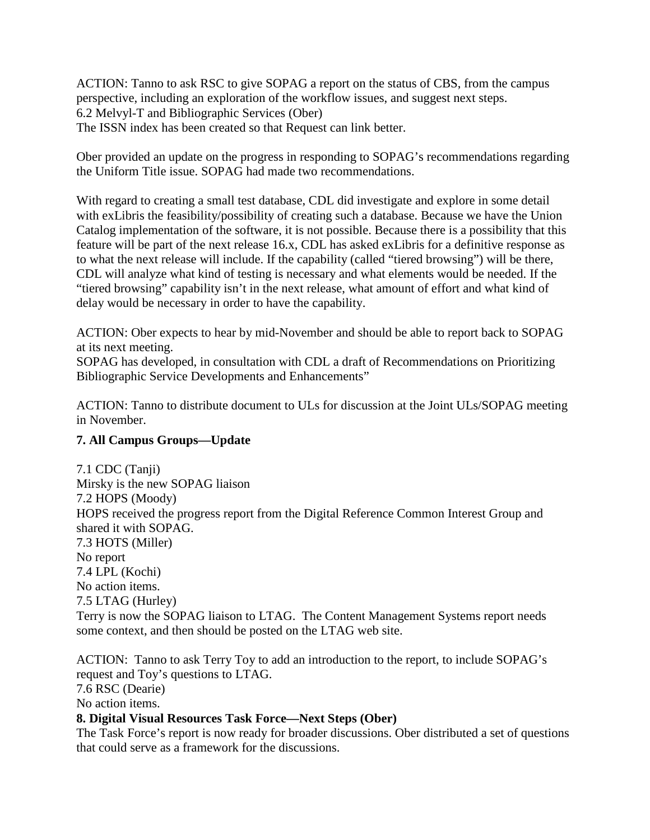ACTION: Tanno to ask RSC to give SOPAG a report on the status of CBS, from the campus perspective, including an exploration of the workflow issues, and suggest next steps. 6.2 Melvyl-T and Bibliographic Services (Ober) The ISSN index has been created so that Request can link better.

Ober provided an update on the progress in responding to SOPAG's recommendations regarding the Uniform Title issue. SOPAG had made two recommendations.

With regard to creating a small test database, CDL did investigate and explore in some detail with exLibris the feasibility/possibility of creating such a database. Because we have the Union Catalog implementation of the software, it is not possible. Because there is a possibility that this feature will be part of the next release 16.x, CDL has asked exLibris for a definitive response as to what the next release will include. If the capability (called "tiered browsing") will be there, CDL will analyze what kind of testing is necessary and what elements would be needed. If the "tiered browsing" capability isn't in the next release, what amount of effort and what kind of delay would be necessary in order to have the capability.

ACTION: Ober expects to hear by mid-November and should be able to report back to SOPAG at its next meeting.

SOPAG has developed, in consultation with CDL a draft of Recommendations on Prioritizing Bibliographic Service Developments and Enhancements"

ACTION: Tanno to distribute document to ULs for discussion at the Joint ULs/SOPAG meeting in November.

## **7. All Campus Groups—Update**

7.1 CDC (Tanji) Mirsky is the new SOPAG liaison 7.2 HOPS (Moody) HOPS received the progress report from the Digital Reference Common Interest Group and shared it with SOPAG. 7.3 HOTS (Miller) No report 7.4 LPL (Kochi) No action items. 7.5 LTAG (Hurley) Terry is now the SOPAG liaison to LTAG. The Content Management Systems report needs some context, and then should be posted on the LTAG web site.

ACTION: Tanno to ask Terry Toy to add an introduction to the report, to include SOPAG's request and Toy's questions to LTAG.

7.6 RSC (Dearie)

No action items.

## **8. Digital Visual Resources Task Force—Next Steps (Ober)**

The Task Force's report is now ready for broader discussions. Ober distributed a set of questions that could serve as a framework for the discussions.